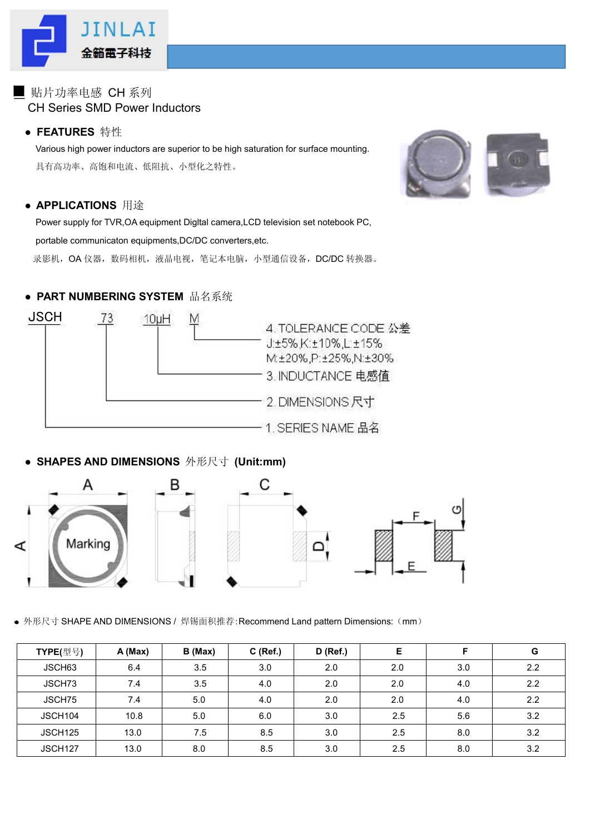

## ■ 贴片功率电感 CH 系列 CH Series SMD Power Inductors

### ● **FEATURES** 特性

Various high power inductors are superior to be high saturation for surface mounting. 具有高功率、高饱和电流、低阻抗、小型化之特性。



#### ● **APPLICATIONS** 用途

Power supply for TVR,OA equipment Digltal camera,LCD television set notebook PC,

portable communicaton equipments,DC/DC converters,etc.

录影机,OA 仪器, 数码相机, 液晶电视, 笔记本电脑, 小型通信设备, DC/DC 转换器。

### ● **PART NUMBERING SYSTEM** 品名系统



## ● **SHAPES AND DIMENSIONS** 外形尺寸 **(Unit:mm)**



● 外形尺寸 SHAPE AND DIMENSIONS / 焊锡面积推荐: Recommend Land pattern Dimensions: (mm)

| TYPE(型号)            | A (Max) | B (Max) | $C$ (Ref.) | $D$ (Ref.) | Е   | Е   | G   |
|---------------------|---------|---------|------------|------------|-----|-----|-----|
| JSCH63              | 6.4     | 3.5     | 3.0        | 2.0        | 2.0 | 3.0 | 2.2 |
| JSCH73              | 7.4     | 3.5     | 4.0        | 2.0        | 2.0 | 4.0 | 2.2 |
| JSCH75              | 7.4     | 5.0     | 4.0        | 2.0        | 2.0 | 4.0 | 2.2 |
| JSCH104             | 10.8    | 5.0     | 6.0        | 3.0        | 2.5 | 5.6 | 3.2 |
| JSCH <sub>125</sub> | 13.0    | 7.5     | 8.5        | 3.0        | 2.5 | 8.0 | 3.2 |
| JSCH <sub>127</sub> | 13.0    | 8.0     | 8.5        | 3.0        | 2.5 | 8.0 | 3.2 |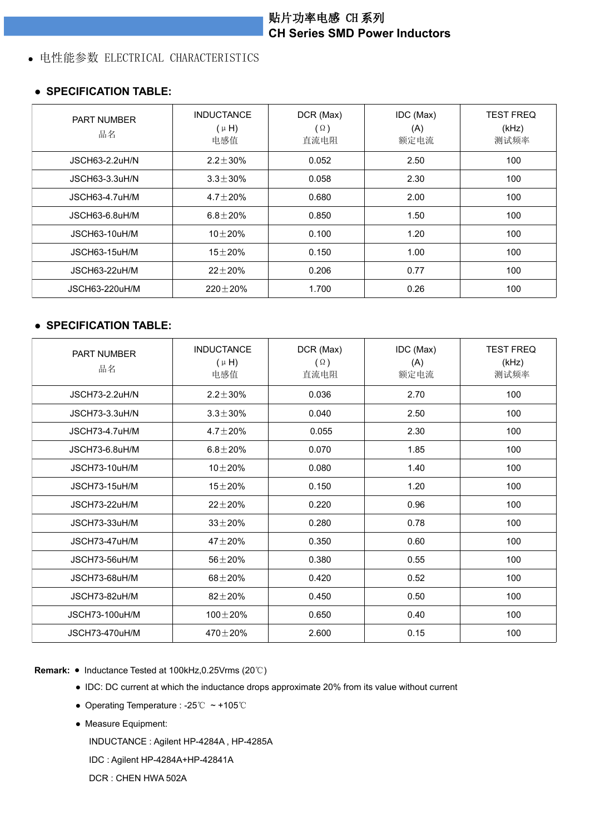# 贴片功率电感 CH 系列 **CH Series SMD Power Inductors**

### 电性能参数 ELECTRICAL CHARACTERISTICS

#### ● **SPECIFICATION TABLE:**

| <b>PART NUMBER</b><br>品名 | <b>INDUCTANCE</b><br>$(\mu H)$<br>电感值 | DCR (Max)<br>$(\Omega)$<br>直流电阻 | IDC (Max)<br>(A)<br>额定电流 | <b>TEST FREQ</b><br>(kHz)<br>测试频率 |
|--------------------------|---------------------------------------|---------------------------------|--------------------------|-----------------------------------|
| JSCH63-2.2uH/N           | $2.2 \pm 30\%$                        | 0.052                           | 2.50                     | 100                               |
| JSCH63-3.3uH/N           | $3.3 \pm 30\%$                        | 0.058                           | 2.30                     | 100                               |
| JSCH63-4.7uH/M           | $4.7 \pm 20\%$                        | 0.680                           | 2.00                     | 100                               |
| JSCH63-6.8uH/M           | $6.8 \pm 20\%$                        | 0.850                           | 1.50                     | 100                               |
| JSCH63-10uH/M            | 10 $\pm$ 20%                          | 0.100                           | 1.20                     | 100                               |
| JSCH63-15uH/M            | $15 + 20%$                            | 0.150                           | 1.00                     | 100                               |
| JSCH63-22uH/M            | $22 \pm 20 \%$                        | 0.206                           | 0.77                     | 100                               |
| JSCH63-220uH/M           | $220\pm20\%$                          | 1.700                           | 0.26                     | 100                               |

#### ● **SPECIFICATION TABLE:**

| PART NUMBER<br>品名     | <b>INDUCTANCE</b><br>$(\mu H)$<br>电感值 | DCR (Max)<br>$(\Omega)$<br>直流电阻 | IDC (Max)<br>(A)<br>额定电流 | <b>TEST FREQ</b><br>(kHz)<br>测试频率 |
|-----------------------|---------------------------------------|---------------------------------|--------------------------|-----------------------------------|
| <b>JSCH73-2.2uH/N</b> | $2.2 \pm 30\%$                        | 0.036                           | 2.70                     | 100                               |
| JSCH73-3.3uH/N        | $3.3 \pm 30\%$                        | 0.040                           | 2.50                     | 100                               |
| JSCH73-4.7uH/M        | $4.7 \pm 20 \%$                       | 0.055                           | 2.30                     | 100                               |
| JSCH73-6.8uH/M        | $6.8 + 20\%$                          | 0.070                           | 1.85                     | 100                               |
| JSCH73-10uH/M         | $10\pm20\%$                           | 0.080                           | 1.40                     | 100                               |
| JSCH73-15uH/M         | $15\pm20\%$                           | 0.150                           | 1.20                     | 100                               |
| JSCH73-22uH/M         | $22 + 20%$                            | 0.220                           | 0.96                     | 100                               |
| JSCH73-33uH/M         | $33 + 20%$                            | 0.280                           | 0.78                     | 100                               |
| JSCH73-47uH/M         | 47 $\pm$ 20%                          | 0.350                           | 0.60                     | 100                               |
| JSCH73-56uH/M         | $56 + 20%$                            | 0.380                           | 0.55                     | 100                               |
| JSCH73-68uH/M         | $68 + 20%$                            | 0.420                           | 0.52                     | 100                               |
| JSCH73-82uH/M         | $82\pm20\%$                           | 0.450                           | 0.50                     | 100                               |
| <b>JSCH73-100uH/M</b> | 100 $\pm$ 20%                         | 0.650                           | 0.40                     | 100                               |
| JSCH73-470uH/M        | $470 + 20%$                           | 2.600                           | 0.15                     | 100                               |

**Remark:** ● Inductance Tested at 100kHz,0.25Vrms (20℃)

- IDC: DC current at which the inductance drops approximate 20% from its value without current
- Operating Temperature : -25℃ ~ +105℃
- Measure Equipment:

INDUCTANCE : Agilent HP-4284A , HP-4285A

IDC : Agilent HP-4284A+HP-42841A

DCR : CHEN HWA 502A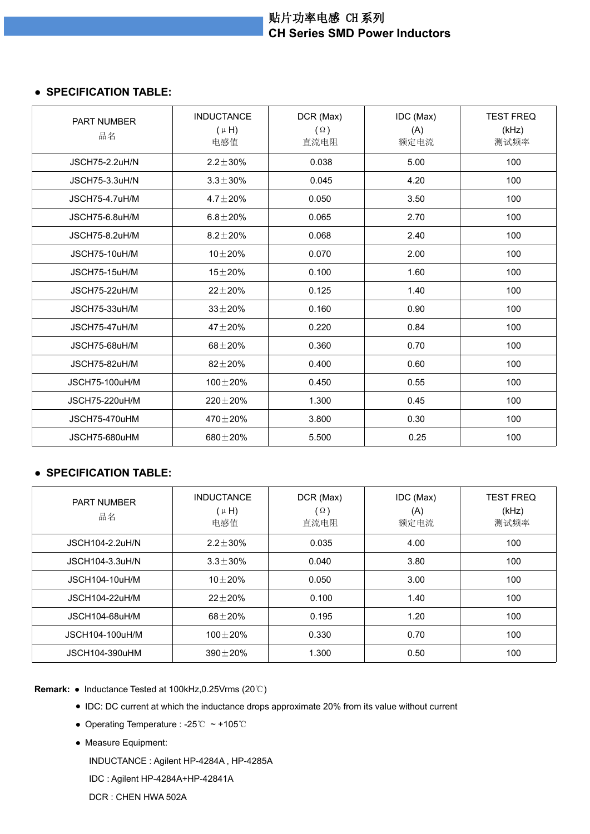## 贴片功率电感 CH 系列 **CH Series SMD Power Inductors**

#### ● **SPECIFICATION TABLE:**

| <b>PART NUMBER</b><br>品名 | <b>INDUCTANCE</b><br>$(\mu H)$<br>电感值 | DCR (Max)<br>$(\Omega)$<br>直流电阻 | IDC (Max)<br>(A)<br>额定电流 | <b>TEST FREQ</b><br>(kHz)<br>测试频率 |
|--------------------------|---------------------------------------|---------------------------------|--------------------------|-----------------------------------|
| <b>JSCH75-2.2uH/N</b>    | $2.2 \pm 30\%$                        | 0.038                           | 5.00                     | 100                               |
| <b>JSCH75-3.3uH/N</b>    | $3.3 \pm 30\%$                        | 0.045                           | 4.20                     | 100                               |
| JSCH75-4.7uH/M           | $4.7 \pm 20\%$                        | 0.050                           | 3.50                     | 100                               |
| JSCH75-6.8uH/M           | $6.8 \pm 20\%$                        | 0.065                           | 2.70                     | 100                               |
| JSCH75-8.2uH/M           | $8.2 \pm 20\%$                        | 0.068                           | 2.40                     | 100                               |
| JSCH75-10uH/M            | $10 + 20%$                            | 0.070                           | 2.00                     | 100                               |
| JSCH75-15uH/M            | $15 + 20%$                            | 0.100                           | 1.60                     | 100                               |
| JSCH75-22uH/M            | $22 + 20%$                            | 0.125                           | 1.40                     | 100                               |
| JSCH75-33uH/M            | $33 + 20%$                            | 0.160                           | 0.90                     | 100                               |
| JSCH75-47uH/M            | $47 + 20%$                            | 0.220                           | 0.84                     | 100                               |
| JSCH75-68uH/M            | $68 + 20%$                            | 0.360                           | 0.70                     | 100                               |
| JSCH75-82uH/M            | $82 + 20%$                            | 0.400                           | 0.60                     | 100                               |
| <b>JSCH75-100uH/M</b>    | $100 + 20%$                           | 0.450                           | 0.55                     | 100                               |
| <b>JSCH75-220uH/M</b>    | $220 \pm 20 \%$                       | 1.300                           | 0.45                     | 100                               |
| JSCH75-470uHM            | 470 $\pm$ 20%                         | 3.800                           | 0.30                     | 100                               |
| JSCH75-680uHM            | $680 + 20%$                           | 5.500                           | 0.25                     | 100                               |

### ● **SPECIFICATION TABLE:**

| <b>PART NUMBER</b><br>品名 | <b>INDUCTANCE</b><br>$(\mu H)$<br>电感值 | DCR (Max)<br>$(\Omega)$<br>直流电阻 | IDC (Max)<br>(A)<br>额定电流 | <b>TEST FREQ</b><br>(kHz)<br>测试频率 |
|--------------------------|---------------------------------------|---------------------------------|--------------------------|-----------------------------------|
| <b>JSCH104-2.2uH/N</b>   | $2.2 \pm 30\%$                        | 0.035                           | 4.00                     | 100                               |
| JSCH104-3.3uH/N          | $3.3 \pm 30\%$                        | 0.040                           | 3.80                     | 100                               |
| JSCH104-10uH/M           | $10 + 20%$                            | 0.050                           | 3.00                     | 100                               |
| <b>JSCH104-22uH/M</b>    | $22 + 20%$                            | 0.100                           | 1.40                     | 100                               |
| JSCH104-68uH/M           | $68 + 20%$                            | 0.195                           | 1.20                     | 100                               |
| JSCH104-100uH/M          | $100 + 20%$                           | 0.330                           | 0.70                     | 100                               |
| <b>JSCH104-390uHM</b>    | $390 \pm 20 \%$                       | 1.300                           | 0.50                     | 100                               |

**Remark:** ● Inductance Tested at 100kHz,0.25Vrms (20℃)

- IDC: DC current at which the inductance drops approximate 20% from its value without current
- Operating Temperature : -25℃ ~ +105℃
- Measure Equipment:

INDUCTANCE : Agilent HP-4284A , HP-4285A

IDC : Agilent HP-4284A+HP-42841A

DCR : CHEN HWA 502A